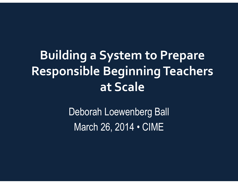### **Building a System to Prepare Responsible Beginning Teachers at Scale**

Deborah Loewenberg Ball March 26, 2014 • CIME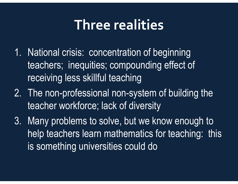### **Three realities**

- 1. National crisis: concentration of beginning teachers; inequities; compounding effect of receiving less skillful teaching
- 2. The non-professional non-system of building the teacher workforce; lack of diversity
- 3. Many problems to solve, but we know enough to help teachers learn mathematics for teaching: thisis something universities could do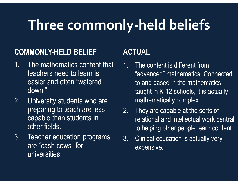# **Three commonly-held beliefs**

#### **COMMONLY-HELD BELIEF**

- 1. The mathematics content that teachers need to learn is easier and often "watered down."
- 2. University students who are preparing to teach are less capable than students in other fields.
- 3. Teacher education programs are "cash cows" for universities.

### **ACTUAL**

- 1. The content is different from "advanced" mathematics. Connected to and based in the mathematics taught in K-12 schools, it is actually mathematically complex.
- 2. They are capable at the sorts of relational and intellectual work central to helping other people learn content.
- 3. Clinical education is actually very expensive.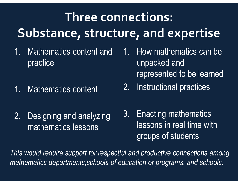## **Three connections:Substance, structure, and expertise**

- 1. Mathematics content and practice
- 1. Mathematics content
- 2. Designing and analyzing mathematics lessons
- 1. How mathematics can be unpacked and represented to be learned
- 2. Instructional practices
- 3. Enacting mathematics lessons in real time with groups of students

*This would require support for respectful and productive connections among mathematics departments,schools of education or programs, and schools.*